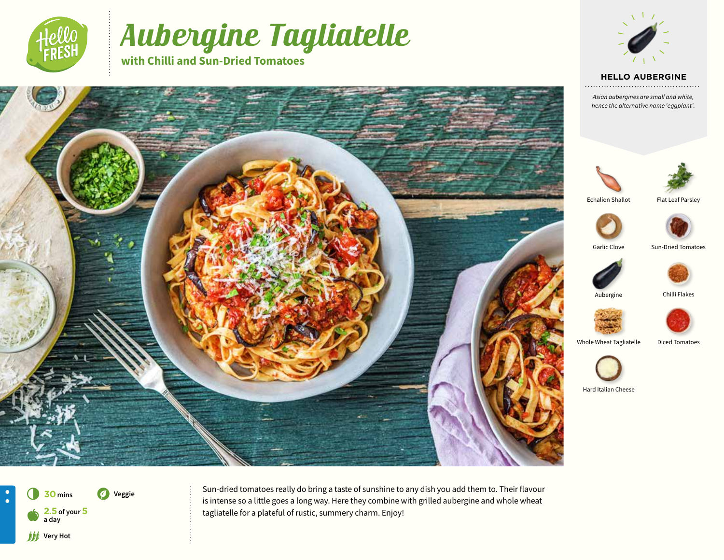

# Aubergine Tagliatelle

**with Chilli and Sun-Dried Tomatoes**



### **HELLO AUBERGINE**

*Asian aubergines are small and white, hence the alternative name 'eggplant'.* 





. . . . . . . . .

Echalion Shallot

Flat Leaf Parsley



Garlic Clove Sun-Dried Tomatoes



Aubergine Chilli Flakes





Whole Wheat Tagliatelle Diced Tomatoes



Hard Italian Cheese





Sun-dried tomatoes really do bring a taste of sunshine to any dish you add them to. Their flavour is intense so a little goes a long way. Here they combine with grilled aubergine and whole wheat tagliatelle for a plateful of rustic, summery charm. Enjoy!